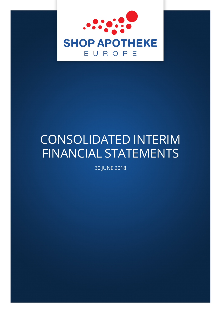

# CONSOLIDATED INTERIM FINANCIAL STATEMENTS

30 JUNE 2018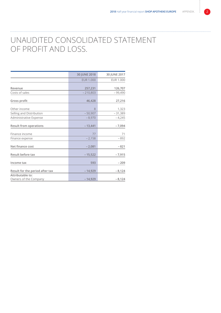### UNAUDITED CONSOLIDATED STATEMENT OF PROFIT AND LOSS.

. . . . . . . . . . . . . . . . . . .

|                                           | 30 JUNE 2018     | 30 JUNE 2017     |
|-------------------------------------------|------------------|------------------|
|                                           | <b>EUR 1.000</b> | <b>EUR 1.000</b> |
| Revenue                                   | 257,231          | 126,707          |
| Costs of sales                            | $-210,803$       | $-99,490$        |
| Gross profit                              | 46,428           | 27,216           |
| Other income                              | 8                | 1,323            |
| Selling and Distribution                  | $-50,907$        | $-31,389$        |
| Administrative Expense                    | $-8,970$         | $-4,245$         |
| <b>Result from operations</b>             | $-13,441$        | $-7,094$         |
| Finance income                            | 77               | 71               |
| Finance expense                           | $-2,158$         | $-892$           |
| Net finance cost                          | $-2,081$         | $-821$           |
| Result before tax                         | $-15,522$        | $-7,915$         |
| Income tax                                | 593              | $-209$           |
| Result for the period after tax           | $-14,929$        | $-8,124$         |
| Attributable to:<br>Owners of the Company | $-14,929$        | $-8,124$         |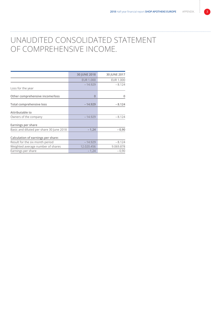### UNAUDITED CONSOLIDATED STATEMENT OF COMPREHENSIVE INCOME.

|                                          | 30 JUNE 2018     | 30 JUNE 2017     |
|------------------------------------------|------------------|------------------|
|                                          | <b>EUR 1.000</b> | <b>EUR 1.000</b> |
| Loss for the year                        | $-14.929$        | $-8.124$         |
| Other comprehensive income/loss          | $\Omega$         | 0                |
| Total comprehensive loss                 | $-14.929$        | $-8.124$         |
| Attributable to                          |                  |                  |
| Owners of the company                    | $-14.929$        | $-8.124$         |
| Earnings per share                       |                  |                  |
| Basic and diluted per share 30 June 2018 | $-1,24$          | $-0.90$          |
| Calculation of earnings per share:       |                  |                  |
| Result for the six month period          | $-14.929$        | $-8.124$         |
| Weighted average number of shares        | 12.020.456       | 9.069.878        |
| Earnings per share                       | $-1,24$          | $-0,90$          |
|                                          |                  |                  |

. . . . . . . . . . . . . . . . . . .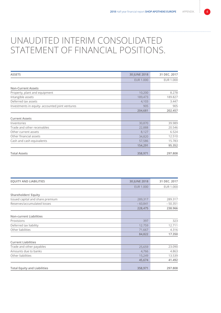# UNAUDITED INTERIM CONSOLIDATED STATEMENT OF FINANCIAL POSITIONS.

| <b>ASSETS</b>                                   | 30 JUNE 2018     | 31 DEC. 2017 |
|-------------------------------------------------|------------------|--------------|
|                                                 | <b>EUR 1.000</b> | EUR 1.000    |
| <b>Non-Current Assets</b>                       |                  |              |
| Property, plant and equipment                   | 10,200           | 8.278        |
| Intangible assets                               | 189,473          | 189.827      |
| Deferred tax assets                             | 4,103            | 3.447        |
| Investments in equity- accounted joint ventures | 905              | 905          |
|                                                 | 204,681          | 202.457      |
| <b>Current Assets</b>                           |                  |              |
| Inventories                                     | 30,870           | 39.989       |
| Trade and other receivables                     | 22,888           | 20.546       |
| Other current assets                            | 8,127            | 6.524        |
| Other financial assets                          | 34,820           | 12.510       |
| Cash and cash equivalents                       | 57,586           | 15.783       |
|                                                 | 154,291          | 95.352       |
| <b>Total Assets</b>                             | 358,971          | 297.808      |

| <b>EQUITY AND LIABILITIES</b>       | 30 JUNE 2018     | 31 DEC. 2017     |
|-------------------------------------|------------------|------------------|
|                                     | <b>EUR 1.000</b> | <b>EUR 1.000</b> |
| <b>Shareholders' Equity</b>         |                  |                  |
| Issued capital and share premium    | 289,317          | 289.317          |
| Reserves/accumulated losses         | $-60,841$        | $-50.351$        |
|                                     | 228,475          | 238.966          |
| <b>Non-current Liabilities</b>      |                  |                  |
| Provisions                          | 397              | 323              |
| Deferred tax liability              | 12.759           | 12.711           |
| Other liabilities                   | 71,667           | 4.316            |
|                                     | 84,822           | 17.350           |
| <b>Current Liabilities</b>          |                  |                  |
| Trade and other payables            | 25,659           | 23.090           |
| Amounts due to banks                | 4,766            | 4.863            |
| Other liabilities                   | 15,249           | 13.539           |
|                                     | 45,674           | 41.492           |
| <b>Total Equity and Liabilities</b> | 358,971          | 297.808          |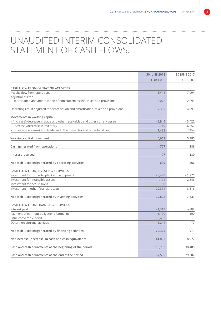# UNAUDITED INTERIM CONSOLIDATED STATEMENT OF CASH FLOWS.

|                                                                                   | 30 JUNE 2018     | 30 JUNE 2017     |
|-----------------------------------------------------------------------------------|------------------|------------------|
|                                                                                   | <b>EUR 1.000</b> | <b>EUR 1.000</b> |
| <b>CASH FLOW FROM OPERATING ACTIVITIES</b>                                        |                  |                  |
| Results flow from operations                                                      | $-13,441$        | $-7,094$         |
| Adjustments for:                                                                  |                  |                  |
| - Depreciation and amortisation of non-current assets, taxes and provisions       | 6,072            | 2,095            |
| Operating result adjusted for depreciation and amortisation, taxes and provisions | $-7,369$         | $-4,999$         |
| Movements in working capital:                                                     |                  |                  |
| - (Increase)/decrease in trade and other receivables and other current assets     | $-3,945$         | $-3,422$         |
| - (Increase)/decrease in inventory                                                | 9,119            | 6,352            |
| - Increase/(decrease) in in trade and other payables and other liabilities        | 1,488            | 2.454            |
| Working capital movement                                                          | 6,662            | 5,385            |
|                                                                                   |                  |                  |
| Cash generated from operations                                                    | $-707$           | 386              |
| Interest received                                                                 | 77               | 180              |
| Net cash (used in)/generated by operating activities                              | $-630$           | 566              |
| CASH FLOW FROM INVESTING ACTIVITIES                                               |                  |                  |
| Investment for property, plant and equipment                                      | $-3,480$         | $-1,271$         |
| Investment for intangible assets                                                  | $-4,101$         | $-2,846$         |
| Investment for acquisitions                                                       | $\Omega$         | $\Omega$         |
| Investment in other financial assets                                              | $-22,311$        | $-3,516$         |
| Net cash (used in)/generated by investing activities                              | $-29,892$        | $-7,633$         |
| CASH FLOW FROM FINANCING ACTIVITIES                                               |                  |                  |
| Interest paid                                                                     | $-1,313$         | $-888$           |
| Payment of earn-out obligations Farmaline                                         | $-1,100$         | $-1,100$         |
| Issue convertible bond                                                            | 73,497           | $\bigcap$        |
| Other non-current liabilities                                                     | 1,241            | 77               |
| Net cash (used in)/generated by financing activities                              | 72,325           | $-1,911$         |
| Net increase/(decrease) in cash and cash equivalents                              | 41,803           | $-8,977$         |
| Cash and cash equivalents at the beginning of the period                          | 15,783           | 38,485           |
|                                                                                   |                  |                  |
| Cash and cash equivalents at the end of the period                                | 57,586           | 29,507           |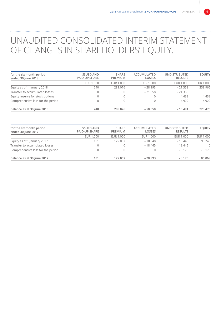# UNAUDITED CONSOLIDATED INTERIM STATEMENT OF CHANGES IN SHAREHOLDERS' EQUITY.

| for the six month period<br>ended 30 June 2018 | <b>ISSUED AND</b><br><b>PAID-UP SHARE</b> | <b>SHARE</b><br><b>PREMIUM</b> | ACCUMULATED<br><b>LOSSES</b> | <b>UNDISTRIBUTED</b><br><b>RESULTS</b> | <b>EQUITY</b>    |
|------------------------------------------------|-------------------------------------------|--------------------------------|------------------------------|----------------------------------------|------------------|
|                                                | EUR 1.000                                 | EUR 1.000                      | EUR 1.000                    | EUR 1.000                              | <b>EUR 1.000</b> |
| Equity as of 1 January 2018                    | 240                                       | 289.076                        | $-28.993$                    | $-21.358$                              | 238.966          |
| Transfer to accumulated losses                 |                                           |                                | $-21.358$                    | $-21.358$                              | $\bigcap$        |
| Equity reserve for stock options               |                                           |                                |                              | 4.438                                  | 4.438            |
| Comprehensive loss for the period              |                                           |                                |                              | $-14.929$                              | $-14.929$        |
| Balance as at 30 June 2018                     | 240                                       | 289.076                        | $-50.350$                    | $-10.491$                              | 228.475          |

| for the six month period<br>ended 30 June 2017 | <b>ISSUED AND</b><br><b>PAID-UP SHARE</b> | <b>SHARE</b><br>PREMIUM | ACCUMULATED<br>LOSSES | <b>UNDISTRIBUTED</b><br><b>RESULTS</b> | <b>EQUITY</b> |
|------------------------------------------------|-------------------------------------------|-------------------------|-----------------------|----------------------------------------|---------------|
|                                                | EUR 1.000                                 | EUR 1.000               | EUR 1.000             | EUR 1.000                              | EUR 1.000     |
| Equity as of 1 January 2017                    | 181                                       | 122.057                 | $-10.548$             | $-18.445$                              | 93.245        |
| Transfer to accumulated losses                 |                                           |                         | $-18.445$             | 18.445                                 | $\bigcap$     |
| Comprehensive loss for the period              |                                           |                         |                       | $-8.176$                               | $-8.176$      |
| Balance as at 30 June 2017                     | 181                                       | 122.057                 | $-28.993$             | $-8.176$                               | 85.069        |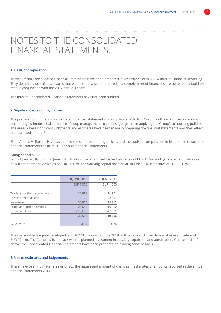# NOTES TO THE CONSOLIDATED FINANCIAL STATEMENTS.

#### **1. Basis of preparation**

These Interim Consolidated Financial Statements have been prepared in accordance with IAS 34 Interim Financial Reporting. They do not include all disclosures that would otherwise be required in a complete set of financial statements and should be read in conjunction with the 2017 annual report.

The Interim Consolidated Financial Statements have not been audited.

#### **2. Significant accounting policies**

The preparation of interim consolidated financial statements in compliance with IAS 34 requires the use of certain critical accounting estimates. It also requires Group management to exercise judgment in applying the Group's accounting policies. The areas where significant judgments and estimates have been made in preparing the financial statements and their effect are disclosed in note 3.

Shop Apotheke Europe N.V. has applied the same accounting policies and methods of computation in its interim consolidated financial statements as in its 2017 annual financial statements.

#### **Going concern**

From 1 January through 30 June 2018, the Company incurred losses before tax of EUR 15.5m and generated a positive cash flow from operating activities of EUR – 0.6 m. The working capital position at 30 June 2018 is positive at EUR 20.6 m.

|                             | 30 JUNE 2018     | 30 JUNE 2017 |
|-----------------------------|------------------|--------------|
|                             | <b>EUR 1.000</b> | EUR 1.000    |
|                             |                  |              |
| Trade and other receivables | 22,888           | 11,701       |
| Other current assets        | 8,127            | 2,554        |
| Inventory                   | 30,870           | 19,312       |
| Trade and other payables    | $-25,659$        | $-16,010$    |
| Other liabilities           | $-15.629$        | $-7,001$     |
|                             | 20,597           | 10,556       |
|                             |                  |              |
| % Revenue                   | 4.97             | 4.76         |

The shareholder's equity developed to EUR 228.5m as at 30 June 2018, with a cash and other financial assets position of EUR 92.4 m. The Company is on track with its planned investment in capacity expansion and automation. On the basis of the above, the Consolidated Financial Statements have been prepared on a going concern basis.

#### **3. Use of estimates and judgements**

There have been no material revisions to the nature and amount of changes in estimates of amounts reported in the annual financial statements 2017.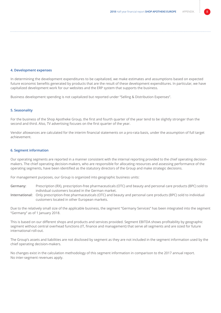#### **4. Development expenses**

In determining the development expenditures to be capitalized, we make estimates and assumptions based on expected future economic benefits generated by products that are the result of these development expenditures. In particular, we have capitalized development work for our websites and the ERP system that supports the business.

Business development spending is not capitalized but reported under "Selling & Distribution Expenses".

#### **5. Seasonality**

For the business of the Shop Apotheke Group, the first and fourth quarter of the year tend to be slightly stronger than the second and third. Also, TV advertising focuses on the first quarter of the year.

Vendor allowances are calculated for the interim financial statements on a pro-rata basis, under the assumption of full target achievement.

#### **6. Segment information**

Our operating segments are reported in a manner consistent with the internal reporting provided to the chief operating decisionmakers. The chief operating decision-makers, who are responsible for allocating resources and assessing performance of the operating segments, have been identified as the statutory directors of the Group and make strategic decisions.

For management purposes, our Group is organized into geographic business units:

- **Germany:** Prescription (RX), prescription-free pharmaceuticals (OTC) and beauty and personal care products (BPC) sold to individual customers located in the German market.
- **International:** Only prescription-free pharmaceuticals (OTC) and beauty and personal care products (BPC) sold to individual customers located in other European markets.

Due to the relatively small size of the applicable business, the segment "Germany Services" has been integrated into the segment "Germany" as of 1 January 2018.

This is based on our different shops and products and services provided. Segment EBITDA shows profitability by geographic segment without central overhead functions (IT, finance and management) that serve all segments and are sized for future international roll-out.

The Group's assets and liabilities are not disclosed by segment as they are not included in the segment information used by the chief operating decision-makers.

No changes exist in the calculation methodology of this segment information in comparison to the 2017 annual report. No inter-segment revenues apply.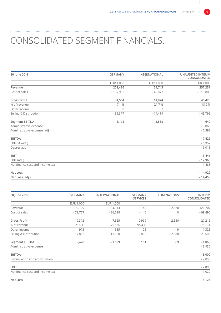# CONSOLIDATED SEGMENT FINANCIALS.

| 30 June 2018                    | <b>GERMANY</b><br><b>INTERNATIONAL</b> |                | <b>UNAUDITED INTERIM</b><br>CONSOLIDATED |  |
|---------------------------------|----------------------------------------|----------------|------------------------------------------|--|
|                                 | EUR 1.000                              | EUR 1.000      | <b>EUR 1.000</b>                         |  |
| Revenue                         | 202,486                                | 54,745         | 257,231                                  |  |
| Cost of sales                   | $-167,932$                             | $-42,872$      | $-210,803$                               |  |
| <b>Gross Profit</b>             | 34,554                                 | 11,874         | 46,428                                   |  |
| % of revenue                    | 17.1 %                                 | 21.7%          | 18.0%                                    |  |
| Other income                    | $\mathbb O$                            | $\overline{7}$ | 8                                        |  |
| Selling & Distribution          | $-31,377$                              | $-14,419$      | $-45,796$                                |  |
| <b>Segment EBITDA</b>           | 3,178                                  | $-2,538$       | 640                                      |  |
| Administrative expense          |                                        |                | $-8,068$                                 |  |
| Administrative expense (adj.)   |                                        |                | $-7,592$                                 |  |
| <b>EBITDA</b>                   |                                        |                | $-7,429$                                 |  |
| EBITDA (adj.)                   |                                        |                | $-6,952$                                 |  |
| Depreciation                    |                                        |                | $-6,013$                                 |  |
| <b>EBIT</b>                     |                                        |                | $-13,441$                                |  |
| EBIT (adj.)                     |                                        |                | $-12,965$                                |  |
| Net finance cost and income tax |                                        |                | $-1,488$                                 |  |
| Net Loss                        |                                        |                | $-14,929$                                |  |
| Net Loss (adj.)                 |                                        |                | $-14,453$                                |  |

| 30 June 2017                    | <b>GERMANY</b>   | <b>INTERNATIONAL</b> | <b>GERMANY</b><br><b>SERVICES</b> | <b>ELIMINATIONS</b> | <b>INTERIM</b><br>CONSOLIDATED |
|---------------------------------|------------------|----------------------|-----------------------------------|---------------------|--------------------------------|
|                                 | <b>EUR 1.000</b> | <b>EUR 1.000</b>     |                                   |                     |                                |
| Revenue                         | 92,129           | 34,113               | 3,145                             | $-2,680$            | 126,707                        |
| Cost of sales                   | $-72,757$        | $-26,588$            | $-146$                            | $\mathbf 0$         | $-99,490$                      |
| <b>Gross Profit</b>             | 19,372           | 7,525                | 2,999                             | $-2,680$            | 27,216                         |
| % of revenue                    | 21.0%            | 22.1 %               | 95.4%                             |                     | 21.5%                          |
| Other income                    | 973              | 335                  | 25                                | $-9$                | 1,323                          |
| Selling & Distribution          | $-17,866$        | $-11,560$            | $-2,863$                          | 2,680               | $-29,609$                      |
| <b>Segment EBITDA</b>           | 2,478            | $-3,699$             | 161                               | $-9$                | $-1,069$                       |
| Administrative expense          |                  |                      |                                   |                     | $-3,930$                       |
| <b>EBITDA</b>                   |                  |                      |                                   |                     | $-5,000$                       |
| Depreciation and amortisation   |                  |                      |                                   |                     | $-2,095$                       |
| <b>EBIT</b>                     |                  |                      |                                   |                     | $-7,095$                       |
| Net finance cost and income tax |                  |                      |                                   |                     | $-1,029$                       |
| Net Loss                        |                  |                      |                                   |                     | $-8,124$                       |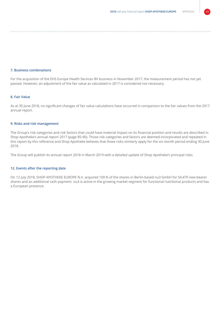### **7. Business combinations**

For the acquisition of the EHS Europe Health Services BV business in November 2017, the measurement period has not yet passed. However, an adjustment of the fair value as calculated in 2017 is considered not necessary.

### **8. Fair Value**

As at 30 June 2018, no significant changes of fair value calculations have occurred in comparison to the fair values from the 2017 annual report.

### **9. Risks and risk management**

The Group's risk categories and risk factors that could have material impact on its financial position and results are described in Shop Apotheke's annual report 2017 (page 85-90). Those risk categories and factors are deemed incorporated and repeated in this report by this reference and Shop Apotheke believes that these risks similarly apply for the six month period ending 30 June 2018.

The Group will publish its annual report 2018 in March 2019 with a detailed update of Shop Apotheke's principal risks.

### **12. Events after the reporting date**

On 12 July 2018, SHOP APOTHEKE EUROPE N.V. acquired 100 % of the shares in Berlin-based nu3 GmbH for 54,470 new bearer shares and an additional cash payment. nu3 is active in the growing market segment for functional nutritional products and has a European presence.